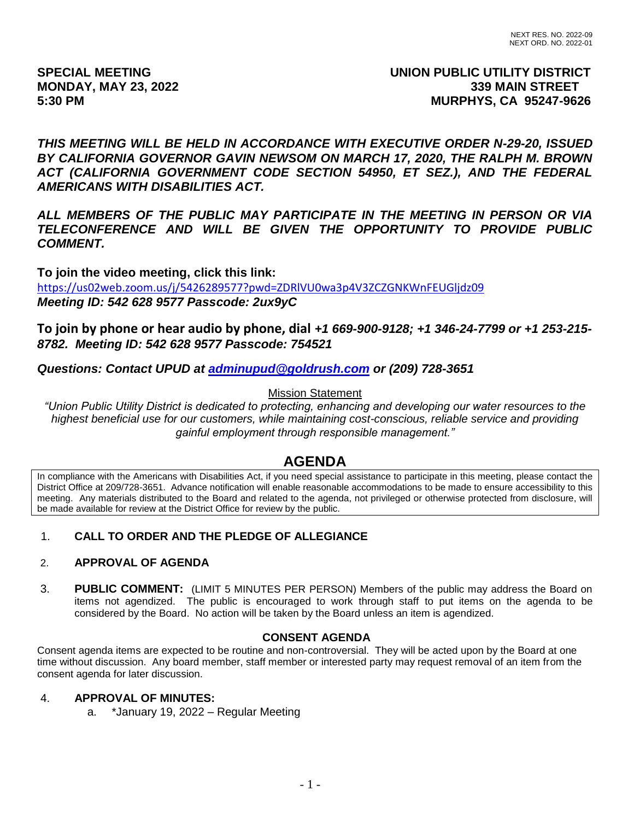# **SPECIAL MEETING UNION PUBLIC UTILITY DISTRICT MONDAY, MAY 23, 2022 339 MAIN STREET 5:30 PM MURPHYS, CA 95247-9626**

*THIS MEETING WILL BE HELD IN ACCORDANCE WITH EXECUTIVE ORDER N-29-20, ISSUED BY CALIFORNIA GOVERNOR GAVIN NEWSOM ON MARCH 17, 2020, THE RALPH M. BROWN ACT (CALIFORNIA GOVERNMENT CODE SECTION 54950, ET SEZ.), AND THE FEDERAL AMERICANS WITH DISABILITIES ACT.*

*ALL MEMBERS OF THE PUBLIC MAY PARTICIPATE IN THE MEETING IN PERSON OR VIA TELECONFERENCE AND WILL BE GIVEN THE OPPORTUNITY TO PROVIDE PUBLIC COMMENT.*

**To join the video meeting, click this link:** <https://us02web.zoom.us/j/5426289577?pwd=ZDRlVU0wa3p4V3ZCZGNKWnFEUGljdz09> *Meeting ID: 542 628 9577 Passcode: 2ux9yC*

**To join by phone or hear audio by phone, dial** *+1 669-900-9128; +1 346-24-7799 or +1 253-215- 8782. Meeting ID: 542 628 9577 Passcode: 754521*

*Questions: Contact UPUD at [adminupud@goldrush.com](mailto:adminupud@goldrush.com) or (209) 728-3651* 

## Mission Statement

*"Union Public Utility District is dedicated to protecting, enhancing and developing our water resources to the highest beneficial use for our customers, while maintaining cost-conscious, reliable service and providing gainful employment through responsible management."*

# **AGENDA**

In compliance with the Americans with Disabilities Act, if you need special assistance to participate in this meeting, please contact the District Office at 209/728-3651. Advance notification will enable reasonable accommodations to be made to ensure accessibility to this meeting. Any materials distributed to the Board and related to the agenda, not privileged or otherwise protected from disclosure, will be made available for review at the District Office for review by the public.

# 1. **CALL TO ORDER AND THE PLEDGE OF ALLEGIANCE**

## 2. **APPROVAL OF AGENDA**

3. **PUBLIC COMMENT:** (LIMIT 5 MINUTES PER PERSON) Members of the public may address the Board on items not agendized. The public is encouraged to work through staff to put items on the agenda to be considered by the Board. No action will be taken by the Board unless an item is agendized.

## **CONSENT AGENDA**

Consent agenda items are expected to be routine and non-controversial. They will be acted upon by the Board at one time without discussion. Any board member, staff member or interested party may request removal of an item from the consent agenda for later discussion.

## 4. **APPROVAL OF MINUTES:**

a. \*January 19, 2022 – Regular Meeting